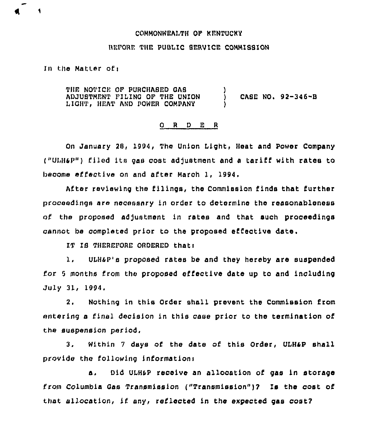## COMMONWEALTH OF KFNTUCKY

## BEFORE THE PUBLIC SERVICE COMMISSION

## In the Matter ofi

THE NOTICE OF PURCHASED OAS ADJUSTMENT FILINO OF THE UNION LIGHT, HEAT AND POWER COMPANY )

CASE NO. 92-346-B

## 0 <sup>R</sup> <sup>D</sup> E <sup>R</sup>

)

On January 28, 1994, The Union Light, Heat and Power Company  $(''ULH\&P'')$  filed its gas cost adjustment and a tariff with rates to become effective on and after March 1, 1994,

After reviewing the filings, the Commission finds that further proceedings are necessary in order to determine the reasonableness of the proposed adjustment in rates and that such proceedings cannot be completed prior to the proposed effective date.

IT IS THEREPORE ORDERED that:

1, ULHSP's proposed rates be and they hereby are suspended for <sup>5</sup> months from the proposed effective date up to and including July 31, 1994.

2, Nothing in this Order shall prevent the Commission from entering a final decision in this case prior to the termination of the suspension period.

3. Within <sup>7</sup> days of the date of this Order, UIHaP shall Provide the following informationi

a, Did ULHSP receive an allocation of gas in storage from Columbia Gas Transmission ("Transmission")7 Is the cost of that allocation, if any, reflected in the expected gas cost?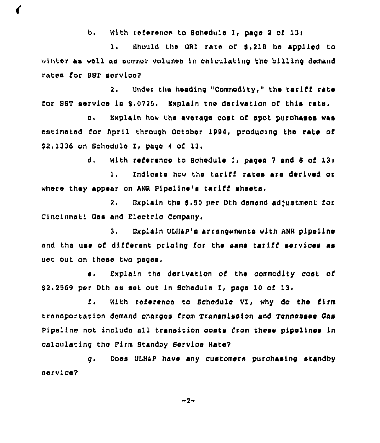b. With reference to Schedule I, pace 2 of 13:

1. Should the GRI rate of \$.218 be applied to winter as well as summer volumes in calculating the billing demand rates for SST mervice?

 $2.7<sub>2</sub>$ Under the heading "Commodity," the tariff rate for SST service is 9.0725. Explain the derivation of this rate.

Explain how the average cost of spot purchases was  $\overline{\mathbf{c}}$ . estimated for April through October 1994, producing the rate of \$2.1336 on Schedule I, bage 4 of 13.

> $d_{\perp}$ With reference to Schedule I, pages 7 and 8 of 13:

Indicate how the tariff rates are derived or  $1.$ where they appear on ANR Pipeline's tariff sheets.

 $2.$ Explain the \$.50 per Dth demand adjustment for Cincinnati Gas and Electric Company.

Explain ULH&P's arrangements with ANR pipeline 3. and the use of different pricing for the same tariff services as set out on these two pages.

Explain the derivation of the commodity cost of  $\bullet$ . \$2.2569 per Dth as set out in Schedule I, page 10 of 13.

With reference to Schedule VI, why do the firm £. transportation demand charges from Transmission and Tennessee Gas Pipeline not include all transition costs from these pipelines in calculating the Firm Standby Service Rate?

 $\mathbf{q}$ . Does ULH&P have any customers purchasing standby service?

 $-2-$